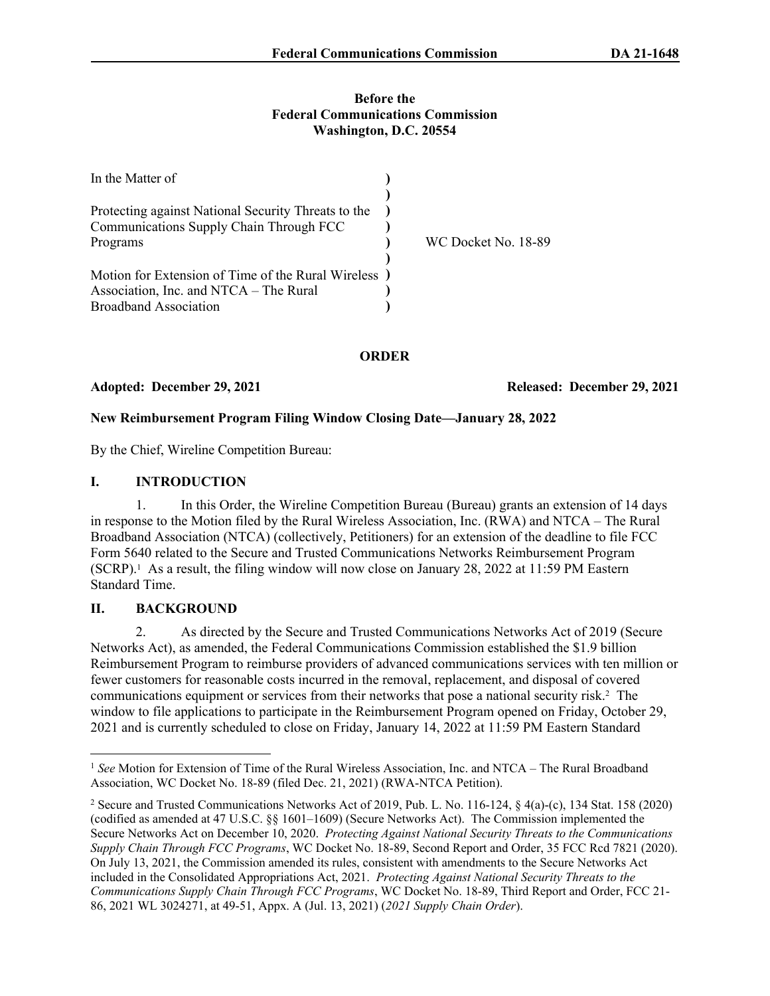#### **Before the Federal Communications Commission Washington, D.C. 20554**

| In the Matter of                                                                               |                     |
|------------------------------------------------------------------------------------------------|---------------------|
| Protecting against National Security Threats to the<br>Communications Supply Chain Through FCC |                     |
| Programs                                                                                       | WC Docket No. 18-89 |
| Motion for Extension of Time of the Rural Wireless )                                           |                     |
| Association, Inc. and NTCA – The Rural                                                         |                     |
| <b>Broadband Association</b>                                                                   |                     |

## **ORDER**

Adopted: December 29, 2021 **Released: December 29, 2021** 

## **New Reimbursement Program Filing Window Closing Date—January 28, 2022**

By the Chief, Wireline Competition Bureau:

### **I. INTRODUCTION**

1. In this Order, the Wireline Competition Bureau (Bureau) grants an extension of 14 days in response to the Motion filed by the Rural Wireless Association, Inc. (RWA) and NTCA – The Rural Broadband Association (NTCA) (collectively, Petitioners) for an extension of the deadline to file FCC Form 5640 related to the Secure and Trusted Communications Networks Reimbursement Program (SCRP).<sup>1</sup> As a result, the filing window will now close on January 28, 2022 at 11:59 PM Eastern Standard Time.

# **II. BACKGROUND**

2. As directed by the Secure and Trusted Communications Networks Act of 2019 (Secure Networks Act), as amended, the Federal Communications Commission established the \$1.9 billion Reimbursement Program to reimburse providers of advanced communications services with ten million or fewer customers for reasonable costs incurred in the removal, replacement, and disposal of covered communications equipment or services from their networks that pose a national security risk.<sup>2</sup> The window to file applications to participate in the Reimbursement Program opened on Friday, October 29, 2021 and is currently scheduled to close on Friday, January 14, 2022 at 11:59 PM Eastern Standard

<sup>&</sup>lt;sup>1</sup> See Motion for Extension of Time of the Rural Wireless Association, Inc. and NTCA – The Rural Broadband Association, WC Docket No. 18-89 (filed Dec. 21, 2021) (RWA-NTCA Petition).

<sup>2</sup> Secure and Trusted Communications Networks Act of 2019, Pub. L. No. 116-124, § 4(a)-(c), 134 Stat. 158 (2020) (codified as amended at 47 U.S.C. §§ 1601–1609) (Secure Networks Act). The Commission implemented the Secure Networks Act on December 10, 2020. *Protecting Against National Security Threats to the Communications Supply Chain Through FCC Programs*, WC Docket No. 18-89, Second Report and Order, 35 FCC Rcd 7821 (2020). On July 13, 2021, the Commission amended its rules, consistent with amendments to the Secure Networks Act included in the Consolidated Appropriations Act, 2021. *Protecting Against National Security Threats to the Communications Supply Chain Through FCC Programs*, WC Docket No. 18-89, Third Report and Order, FCC 21- 86, 2021 WL 3024271, at 49-51, Appx. A (Jul. 13, 2021) (*2021 Supply Chain Order*).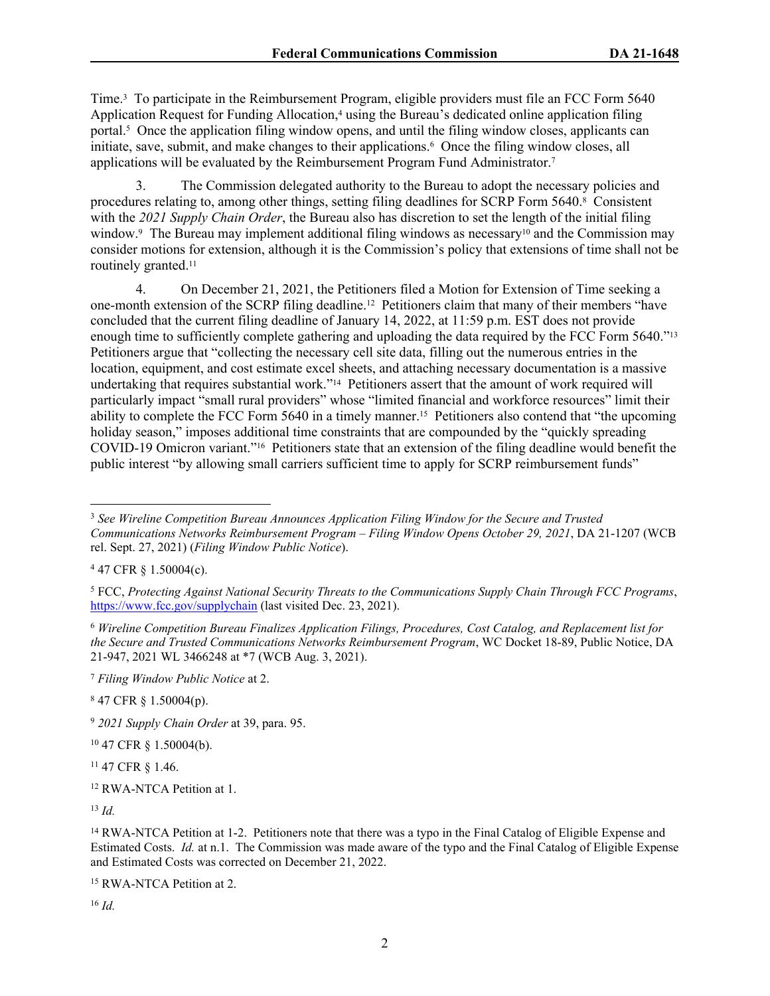Time.<sup>3</sup> To participate in the Reimbursement Program, eligible providers must file an FCC Form 5640 Application Request for Funding Allocation,<sup>4</sup> using the Bureau's dedicated online application filing portal.<sup>5</sup> Once the application filing window opens, and until the filing window closes, applicants can initiate, save, submit, and make changes to their applications.<sup>6</sup> Once the filing window closes, all applications will be evaluated by the Reimbursement Program Fund Administrator.<sup>7</sup>

3. The Commission delegated authority to the Bureau to adopt the necessary policies and procedures relating to, among other things, setting filing deadlines for SCRP Form 5640.<sup>8</sup> Consistent with the *2021 Supply Chain Order*, the Bureau also has discretion to set the length of the initial filing window.<sup>9</sup> The Bureau may implement additional filing windows as necessary<sup>10</sup> and the Commission may consider motions for extension, although it is the Commission's policy that extensions of time shall not be routinely granted.<sup>11</sup>

4. On December 21, 2021, the Petitioners filed a Motion for Extension of Time seeking a one-month extension of the SCRP filing deadline.12 Petitioners claim that many of their members "have concluded that the current filing deadline of January 14, 2022, at 11:59 p.m. EST does not provide enough time to sufficiently complete gathering and uploading the data required by the FCC Form 5640."<sup>13</sup> Petitioners argue that "collecting the necessary cell site data, filling out the numerous entries in the location, equipment, and cost estimate excel sheets, and attaching necessary documentation is a massive undertaking that requires substantial work."14 Petitioners assert that the amount of work required will particularly impact "small rural providers" whose "limited financial and workforce resources" limit their ability to complete the FCC Form 5640 in a timely manner.15 Petitioners also contend that "the upcoming holiday season," imposes additional time constraints that are compounded by the "quickly spreading" COVID-19 Omicron variant."16 Petitioners state that an extension of the filing deadline would benefit the public interest "by allowing small carriers sufficient time to apply for SCRP reimbursement funds"

<sup>10</sup> 47 CFR § 1.50004(b).

<sup>11</sup> 47 CFR § 1.46.

<sup>12</sup> RWA-NTCA Petition at 1.

<sup>13</sup> *Id.*

<sup>15</sup> RWA-NTCA Petition at 2.

<sup>16</sup> *Id.*

<sup>3</sup> *See Wireline Competition Bureau Announces Application Filing Window for the Secure and Trusted Communications Networks Reimbursement Program – Filing Window Opens October 29, 2021*, DA 21-1207 (WCB rel. Sept. 27, 2021) (*Filing Window Public Notice*).

 $447$  CFR § 1.50004(c).

<sup>5</sup> FCC, *Protecting Against National Security Threats to the Communications Supply Chain Through FCC Programs*, <https://www.fcc.gov/supplychain>(last visited Dec. 23, 2021).

<sup>6</sup> *Wireline Competition Bureau Finalizes Application Filings, Procedures, Cost Catalog, and Replacement list for the Secure and Trusted Communications Networks Reimbursement Program*, WC Docket 18-89, Public Notice, DA 21-947, 2021 WL 3466248 at \*7 (WCB Aug. 3, 2021).

<sup>7</sup> *Filing Window Public Notice* at 2.

<sup>8</sup> 47 CFR § 1.50004(p).

<sup>9</sup> *2021 Supply Chain Order* at 39, para. 95.

<sup>&</sup>lt;sup>14</sup> RWA-NTCA Petition at 1-2. Petitioners note that there was a typo in the Final Catalog of Eligible Expense and Estimated Costs. *Id.* at n.1. The Commission was made aware of the typo and the Final Catalog of Eligible Expense and Estimated Costs was corrected on December 21, 2022.